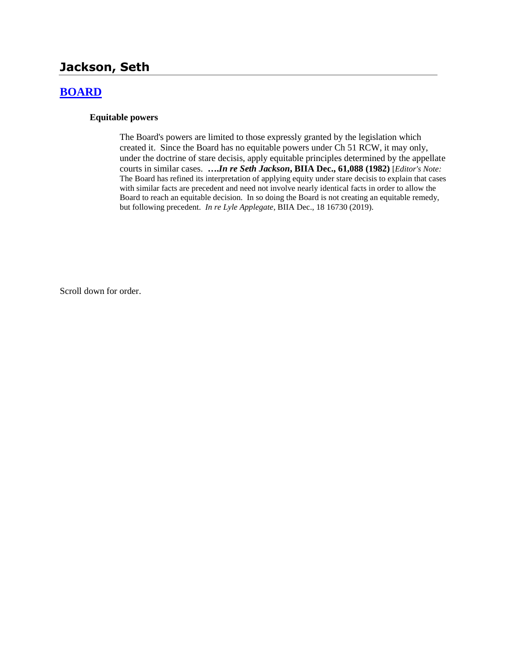# **Jackson, Seth**

## **[BOARD](http://www.biia.wa.gov/SDSubjectIndex.html#BOARD)**

### **Equitable powers**

The Board's powers are limited to those expressly granted by the legislation which created it. Since the Board has no equitable powers under Ch 51 RCW, it may only, under the doctrine of stare decisis, apply equitable principles determined by the appellate courts in similar cases. **….***In re Seth Jackson***, BIIA Dec., 61,088 (1982)** [*Editor's Note:* The Board has refined its interpretation of applying equity under stare decisis to explain that cases with similar facts are precedent and need not involve nearly identical facts in order to allow the Board to reach an equitable decision. In so doing the Board is not creating an equitable remedy, but following precedent. *In re Lyle Applegate*, BIIA Dec., 18 16730 (2019).

Scroll down for order.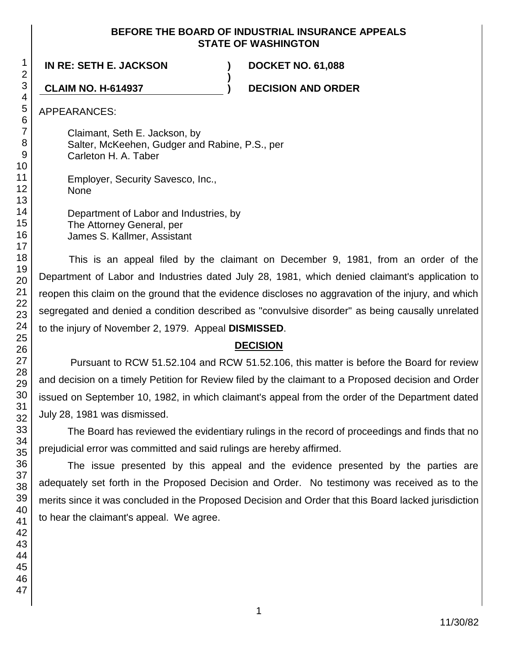### **BEFORE THE BOARD OF INDUSTRIAL INSURANCE APPEALS STATE OF WASHINGTON**

**)**

**IN RE: SETH E. JACKSON ) DOCKET NO. 61,088**

**CLAIM NO. H-614937 ) DECISION AND ORDER**

APPEARANCES:

Claimant, Seth E. Jackson, by Salter, McKeehen, Gudger and Rabine, P.S., per Carleton H. A. Taber

Employer, Security Savesco, Inc., None

Department of Labor and Industries, by The Attorney General, per James S. Kallmer, Assistant

This is an appeal filed by the claimant on December 9, 1981, from an order of the Department of Labor and Industries dated July 28, 1981, which denied claimant's application to reopen this claim on the ground that the evidence discloses no aggravation of the injury, and which segregated and denied a condition described as "convulsive disorder" as being causally unrelated to the injury of November 2, 1979. Appeal **DISMISSED**.

## **DECISION**

Pursuant to RCW 51.52.104 and RCW 51.52.106, this matter is before the Board for review and decision on a timely Petition for Review filed by the claimant to a Proposed decision and Order issued on September 10, 1982, in which claimant's appeal from the order of the Department dated July 28, 1981 was dismissed.

The Board has reviewed the evidentiary rulings in the record of proceedings and finds that no prejudicial error was committed and said rulings are hereby affirmed.

The issue presented by this appeal and the evidence presented by the parties are adequately set forth in the Proposed Decision and Order. No testimony was received as to the merits since it was concluded in the Proposed Decision and Order that this Board lacked jurisdiction to hear the claimant's appeal. We agree.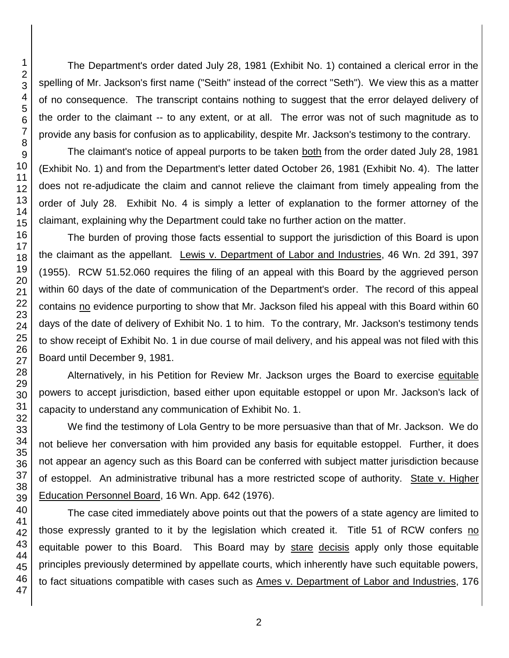The Department's order dated July 28, 1981 (Exhibit No. 1) contained a clerical error in the spelling of Mr. Jackson's first name ("Seith" instead of the correct "Seth"). We view this as a matter of no consequence. The transcript contains nothing to suggest that the error delayed delivery of the order to the claimant -- to any extent, or at all. The error was not of such magnitude as to provide any basis for confusion as to applicability, despite Mr. Jackson's testimony to the contrary.

The claimant's notice of appeal purports to be taken both from the order dated July 28, 1981 (Exhibit No. 1) and from the Department's letter dated October 26, 1981 (Exhibit No. 4). The latter does not re-adjudicate the claim and cannot relieve the claimant from timely appealing from the order of July 28. Exhibit No. 4 is simply a letter of explanation to the former attorney of the claimant, explaining why the Department could take no further action on the matter.

The burden of proving those facts essential to support the jurisdiction of this Board is upon the claimant as the appellant. Lewis v. Department of Labor and Industries, 46 Wn. 2d 391, 397 (1955). RCW 51.52.060 requires the filing of an appeal with this Board by the aggrieved person within 60 days of the date of communication of the Department's order. The record of this appeal contains no evidence purporting to show that Mr. Jackson filed his appeal with this Board within 60 days of the date of delivery of Exhibit No. 1 to him. To the contrary, Mr. Jackson's testimony tends to show receipt of Exhibit No. 1 in due course of mail delivery, and his appeal was not filed with this Board until December 9, 1981.

Alternatively, in his Petition for Review Mr. Jackson urges the Board to exercise equitable powers to accept jurisdiction, based either upon equitable estoppel or upon Mr. Jackson's lack of capacity to understand any communication of Exhibit No. 1.

We find the testimony of Lola Gentry to be more persuasive than that of Mr. Jackson. We do not believe her conversation with him provided any basis for equitable estoppel. Further, it does not appear an agency such as this Board can be conferred with subject matter jurisdiction because of estoppel. An administrative tribunal has a more restricted scope of authority. State v. Higher Education Personnel Board, 16 Wn. App. 642 (1976).

The case cited immediately above points out that the powers of a state agency are limited to those expressly granted to it by the legislation which created it. Title 51 of RCW confers no equitable power to this Board. This Board may by stare decisis apply only those equitable principles previously determined by appellate courts, which inherently have such equitable powers, to fact situations compatible with cases such as Ames v. Department of Labor and Industries, 176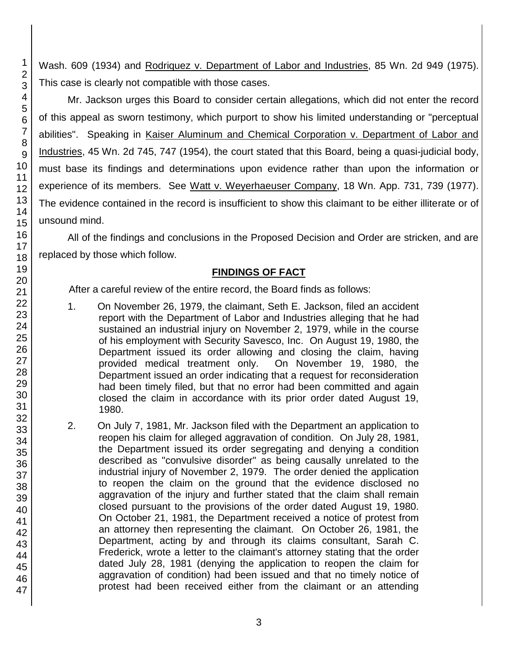Wash. 609 (1934) and Rodriquez v. Department of Labor and Industries, 85 Wn. 2d 949 (1975). This case is clearly not compatible with those cases.

Mr. Jackson urges this Board to consider certain allegations, which did not enter the record of this appeal as sworn testimony, which purport to show his limited understanding or "perceptual abilities". Speaking in Kaiser Aluminum and Chemical Corporation v. Department of Labor and Industries, 45 Wn. 2d 745, 747 (1954), the court stated that this Board, being a quasi-judicial body, must base its findings and determinations upon evidence rather than upon the information or experience of its members. See Watt v. Weyerhaeuser Company, 18 Wn. App. 731, 739 (1977). The evidence contained in the record is insufficient to show this claimant to be either illiterate or of unsound mind.

All of the findings and conclusions in the Proposed Decision and Order are stricken, and are replaced by those which follow.

## **FINDINGS OF FACT**

After a careful review of the entire record, the Board finds as follows:

- 1. On November 26, 1979, the claimant, Seth E. Jackson, filed an accident report with the Department of Labor and Industries alleging that he had sustained an industrial injury on November 2, 1979, while in the course of his employment with Security Savesco, Inc. On August 19, 1980, the Department issued its order allowing and closing the claim, having provided medical treatment only. On November 19, 1980, the Department issued an order indicating that a request for reconsideration had been timely filed, but that no error had been committed and again closed the claim in accordance with its prior order dated August 19, 1980.
- 2. On July 7, 1981, Mr. Jackson filed with the Department an application to reopen his claim for alleged aggravation of condition. On July 28, 1981, the Department issued its order segregating and denying a condition described as "convulsive disorder" as being causally unrelated to the industrial injury of November 2, 1979. The order denied the application to reopen the claim on the ground that the evidence disclosed no aggravation of the injury and further stated that the claim shall remain closed pursuant to the provisions of the order dated August 19, 1980. On October 21, 1981, the Department received a notice of protest from an attorney then representing the claimant. On October 26, 1981, the Department, acting by and through its claims consultant, Sarah C. Frederick, wrote a letter to the claimant's attorney stating that the order dated July 28, 1981 (denying the application to reopen the claim for aggravation of condition) had been issued and that no timely notice of protest had been received either from the claimant or an attending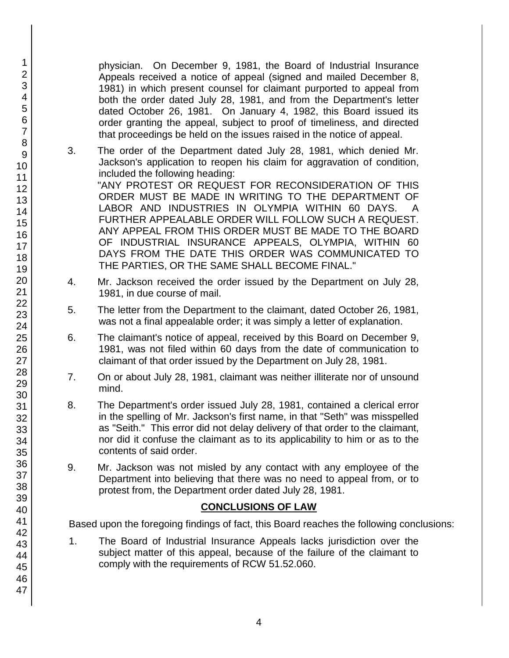physician. On December 9, 1981, the Board of Industrial Insurance Appeals received a notice of appeal (signed and mailed December 8, 1981) in which present counsel for claimant purported to appeal from both the order dated July 28, 1981, and from the Department's letter dated October 26, 1981. On January 4, 1982, this Board issued its order granting the appeal, subject to proof of timeliness, and directed that proceedings be held on the issues raised in the notice of appeal.

3. The order of the Department dated July 28, 1981, which denied Mr. Jackson's application to reopen his claim for aggravation of condition, included the following heading:

"ANY PROTEST OR REQUEST FOR RECONSIDERATION OF THIS ORDER MUST BE MADE IN WRITING TO THE DEPARTMENT OF LABOR AND INDUSTRIES IN OLYMPIA WITHIN 60 DAYS. FURTHER APPEALABLE ORDER WILL FOLLOW SUCH A REQUEST. ANY APPEAL FROM THIS ORDER MUST BE MADE TO THE BOARD OF INDUSTRIAL INSURANCE APPEALS, OLYMPIA, WITHIN 60 DAYS FROM THE DATE THIS ORDER WAS COMMUNICATED TO THE PARTIES, OR THE SAME SHALL BECOME FINAL."

- 4. Mr. Jackson received the order issued by the Department on July 28, 1981, in due course of mail.
- 5. The letter from the Department to the claimant, dated October 26, 1981, was not a final appealable order; it was simply a letter of explanation.
- 6. The claimant's notice of appeal, received by this Board on December 9, 1981, was not filed within 60 days from the date of communication to claimant of that order issued by the Department on July 28, 1981.
- 7. On or about July 28, 1981, claimant was neither illiterate nor of unsound mind.
- 8. The Department's order issued July 28, 1981, contained a clerical error in the spelling of Mr. Jackson's first name, in that "Seth" was misspelled as "Seith." This error did not delay delivery of that order to the claimant, nor did it confuse the claimant as to its applicability to him or as to the contents of said order.
- 9. Mr. Jackson was not misled by any contact with any employee of the Department into believing that there was no need to appeal from, or to protest from, the Department order dated July 28, 1981.

## **CONCLUSIONS OF LAW**

Based upon the foregoing findings of fact, this Board reaches the following conclusions:

1. The Board of Industrial Insurance Appeals lacks jurisdiction over the subject matter of this appeal, because of the failure of the claimant to comply with the requirements of RCW 51.52.060.

1